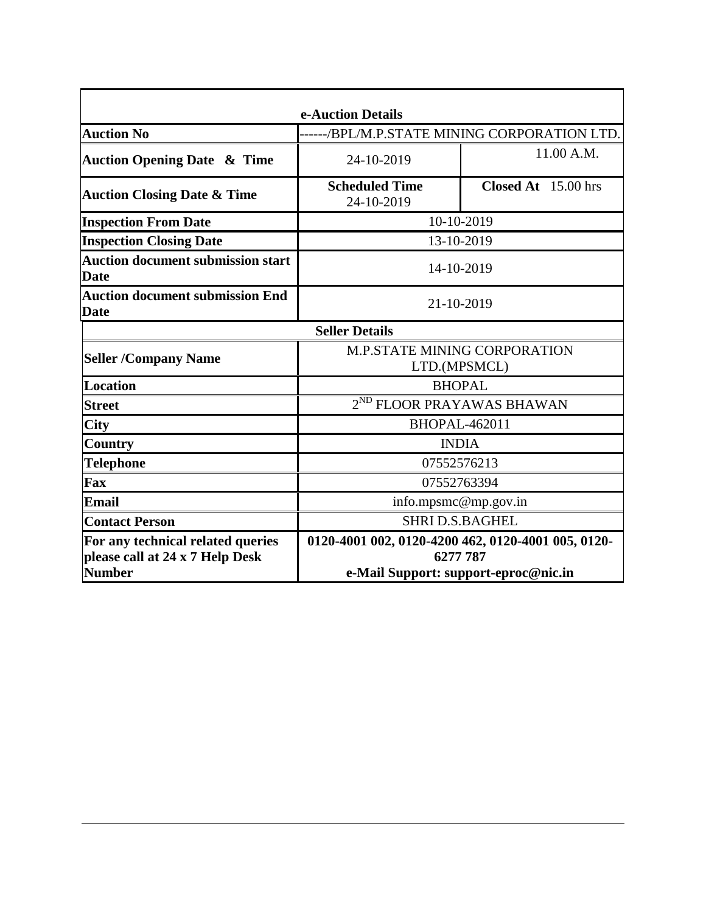| e-Auction Details                                                    |                                                                |                     |  |  |  |
|----------------------------------------------------------------------|----------------------------------------------------------------|---------------------|--|--|--|
| <b>Auction No</b>                                                    | -/BPL/M.P.STATE MINING CORPORATION LTD.                        |                     |  |  |  |
| <b>Auction Opening Date &amp; Time</b>                               | 24-10-2019                                                     | 11.00 A.M.          |  |  |  |
| <b>Auction Closing Date &amp; Time</b>                               | <b>Scheduled Time</b><br>24-10-2019                            | Closed At 15.00 hrs |  |  |  |
| <b>Inspection From Date</b>                                          | 10-10-2019                                                     |                     |  |  |  |
| <b>Inspection Closing Date</b>                                       | 13-10-2019                                                     |                     |  |  |  |
| <b>Auction document submission start</b><br><b>Date</b>              | 14-10-2019                                                     |                     |  |  |  |
| <b>Auction document submission End</b><br><b>Date</b>                | 21-10-2019                                                     |                     |  |  |  |
|                                                                      | <b>Seller Details</b>                                          |                     |  |  |  |
| <b>Seller /Company Name</b>                                          | <b>M.P.STATE MINING CORPORATION</b><br>LTD.(MPSMCL)            |                     |  |  |  |
| Location                                                             | <b>BHOPAL</b>                                                  |                     |  |  |  |
| <b>Street</b>                                                        | 2 <sup>ND</sup> FLOOR PRAYAWAS BHAWAN                          |                     |  |  |  |
| <b>City</b>                                                          | <b>BHOPAL-462011</b>                                           |                     |  |  |  |
| <b>Country</b>                                                       | <b>INDIA</b>                                                   |                     |  |  |  |
| <b>Telephone</b>                                                     | 07552576213                                                    |                     |  |  |  |
| Fax                                                                  | 07552763394                                                    |                     |  |  |  |
| Email                                                                | info.mpsmc@mp.gov.in                                           |                     |  |  |  |
| <b>Contact Person</b>                                                | <b>SHRI D.S.BAGHEL</b>                                         |                     |  |  |  |
| For any technical related queries<br>please call at 24 x 7 Help Desk | 0120-4001 002, 0120-4200 462, 0120-4001 005, 0120-<br>6277 787 |                     |  |  |  |
| <b>Number</b>                                                        | e-Mail Support: support-eproc@nic.in                           |                     |  |  |  |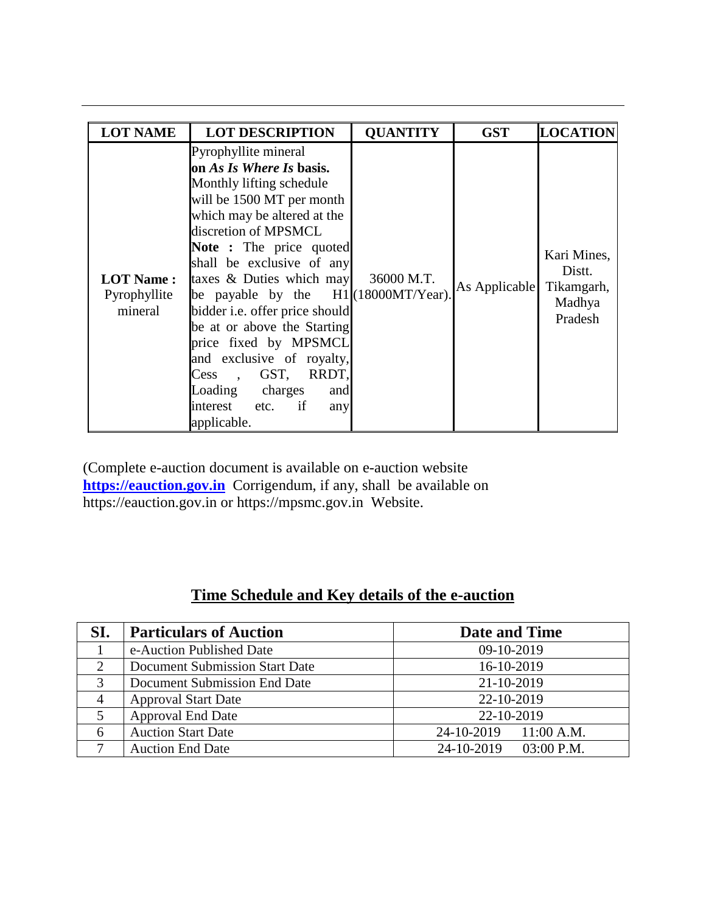| <b>LOT NAME</b>                             | <b>LOT DESCRIPTION</b>                                                                                                                                                                                                                                                                                                                                                                                                                                                                                            | <b>QUANTITY</b> | <b>GST</b>    | <b>LOCATION</b>                                          |
|---------------------------------------------|-------------------------------------------------------------------------------------------------------------------------------------------------------------------------------------------------------------------------------------------------------------------------------------------------------------------------------------------------------------------------------------------------------------------------------------------------------------------------------------------------------------------|-----------------|---------------|----------------------------------------------------------|
| <b>LOT Name:</b><br>Pyrophyllite<br>mineral | Pyrophyllite mineral<br>on As Is Where Is basis.<br>Monthly lifting schedule<br>will be 1500 MT per month<br>which may be altered at the<br>discretion of MPSMCL<br>Note : The price quoted<br>shall be exclusive of any<br>taxes & Duties which may<br>be payable by the $H1$ (18000MT/Year).<br>bidder i.e. offer price should<br>be at or above the Starting<br>price fixed by MPSMCL<br>and exclusive of royalty,<br>, GST, RRDT,<br>Cess<br>Loading charges<br>and<br>interest etc. if<br>any<br>applicable. | 36000 M.T.      | As Applicable | Kari Mines,<br>Distt.<br>Tikamgarh,<br>Madhya<br>Pradesh |

(Complete e-auction document is available on e-auction website **[https://eauction.gov.in](https://eauction.gov.in/)** Corrigendum, if any, shall be available on https://eauction.gov.in or https://mpsmc.gov.in Website.

# **Time Schedule and Key details of the e-auction**

| SI.                         | <b>Particulars of Auction</b>         | <b>Date and Time</b>       |
|-----------------------------|---------------------------------------|----------------------------|
|                             | e-Auction Published Date              | 09-10-2019                 |
| $\mathcal{D}_{\mathcal{L}}$ | <b>Document Submission Start Date</b> | 16-10-2019                 |
| 3                           | Document Submission End Date          | 21-10-2019                 |
|                             | <b>Approval Start Date</b>            | 22-10-2019                 |
|                             | <b>Approval End Date</b>              | 22-10-2019                 |
| 6                           | <b>Auction Start Date</b>             | 24-10-2019 11:00 A.M.      |
|                             | <b>Auction End Date</b>               | 24-10-2019<br>$03:00$ P.M. |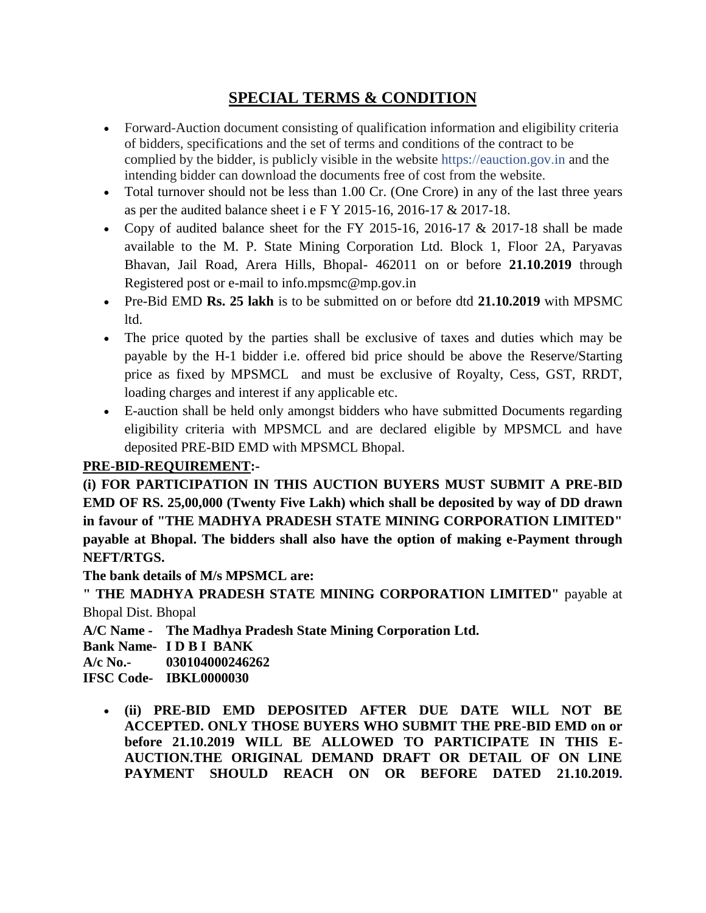# **SPECIAL TERMS & CONDITION**

- Forward-Auction document consisting of qualification information and eligibility criteria of bidders, specifications and the set of terms and conditions of the contract to be complied by the bidder, is publicly visible in the website https://eauction.gov.in and the intending bidder can download the documents free of cost from the website.
- Total turnover should not be less than 1.00 Cr. (One Crore) in any of the last three years as per the audited balance sheet i e F Y 2015-16, 2016-17 & 2017-18.
- Copy of audited balance sheet for the FY 2015-16, 2016-17  $& 2017-18$  shall be made available to the M. P. State Mining Corporation Ltd. Block 1, Floor 2A, Paryavas Bhavan, Jail Road, Arera Hills, Bhopal- 462011 on or before **21.10.2019** through Registered post or e-mail to info.mpsmc@mp.gov.in
- Pre-Bid EMD **Rs. 25 lakh** is to be submitted on or before dtd **21.10.2019** with MPSMC ltd.
- The price quoted by the parties shall be exclusive of taxes and duties which may be payable by the H-1 bidder i.e. offered bid price should be above the Reserve/Starting price as fixed by MPSMCL and must be exclusive of Royalty, Cess, GST, RRDT, loading charges and interest if any applicable etc.
- E-auction shall be held only amongst bidders who have submitted Documents regarding eligibility criteria with MPSMCL and are declared eligible by MPSMCL and have deposited PRE-BID EMD with MPSMCL Bhopal.

# **PRE-BID-REQUIREMENT:-**

**(i) FOR PARTICIPATION IN THIS AUCTION BUYERS MUST SUBMIT A PRE-BID EMD OF RS. 25,00,000 (Twenty Five Lakh) which shall be deposited by way of DD drawn in favour of "THE MADHYA PRADESH STATE MINING CORPORATION LIMITED" payable at Bhopal. The bidders shall also have the option of making e-Payment through NEFT/RTGS.** 

**The bank details of M/s MPSMCL are:**

**" THE MADHYA PRADESH STATE MINING CORPORATION LIMITED"** payable at Bhopal Dist. Bhopal

**A/C Name - The Madhya Pradesh State Mining Corporation Ltd.**

**Bank Name- I D B I BANK**

**A/c No.- 030104000246262**

**IFSC Code- IBKL0000030**

 **(ii) PRE-BID EMD DEPOSITED AFTER DUE DATE WILL NOT BE ACCEPTED. ONLY THOSE BUYERS WHO SUBMIT THE PRE-BID EMD on or before 21.10.2019 WILL BE ALLOWED TO PARTICIPATE IN THIS E-AUCTION.THE ORIGINAL DEMAND DRAFT OR DETAIL OF ON LINE PAYMENT SHOULD REACH ON OR BEFORE DATED 21.10.2019.**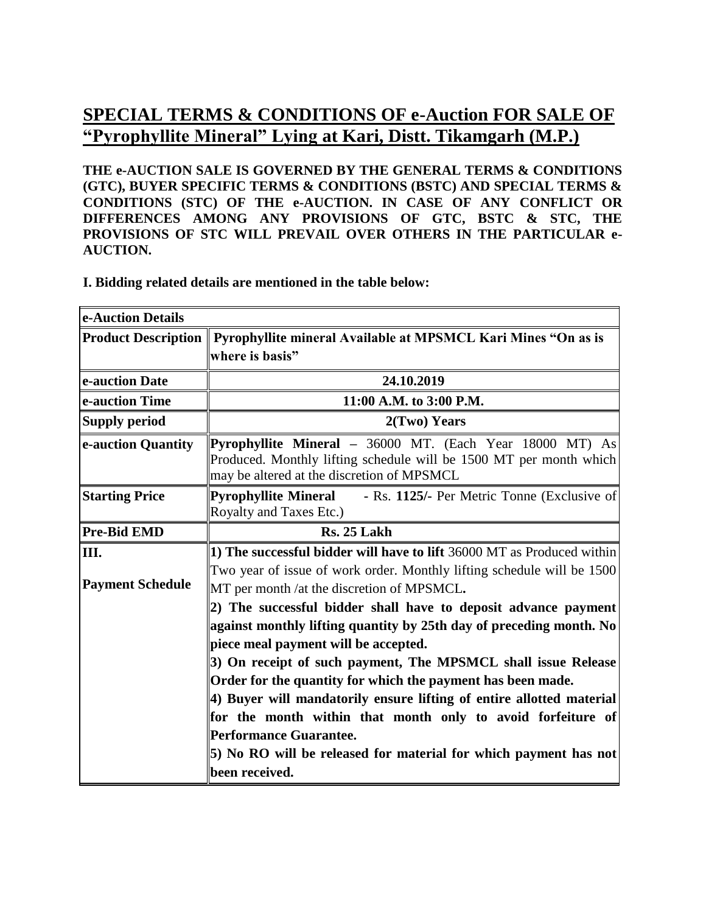# **SPECIAL TERMS & CONDITIONS OF e-Auction [FOR SALE OF](http://mstcindia.co.in/AttachLotPhoto/Lot_Photo/Photo_15-16_1195_1471752.htm)  ["Pyrophyllite Mineral" Lying a](http://mstcindia.co.in/AttachLotPhoto/Lot_Photo/Photo_15-16_1195_1471752.htm)t Kari, Distt. Tikamgarh (M.P.)**

**THE e-AUCTION SALE IS GOVERNED BY THE GENERAL TERMS & CONDITIONS (GTC), BUYER SPECIFIC TERMS & CONDITIONS (BSTC) AND SPECIAL TERMS & CONDITIONS (STC) OF THE e-AUCTION. IN CASE OF ANY CONFLICT OR DIFFERENCES AMONG ANY PROVISIONS OF GTC, BSTC & STC, THE PROVISIONS OF STC WILL PREVAIL OVER OTHERS IN THE PARTICULAR e-AUCTION.**

### **I. Bidding related details are mentioned in the table below:**

| e-Auction Details       |                                                                                                                                                                                       |  |  |
|-------------------------|---------------------------------------------------------------------------------------------------------------------------------------------------------------------------------------|--|--|
|                         | Product Description    Pyrophyllite mineral Available at MPSMCL Kari Mines "On as is                                                                                                  |  |  |
|                         | where is basis"                                                                                                                                                                       |  |  |
| e-auction Date          | 24.10.2019                                                                                                                                                                            |  |  |
| e-auction Time          | 11:00 A.M. to 3:00 P.M.                                                                                                                                                               |  |  |
| <b>Supply period</b>    | 2(Two) Years                                                                                                                                                                          |  |  |
| e-auction Quantity      | <b>Pyrophyllite Mineral</b> $-$ 36000 MT. (Each Year 18000 MT) As<br>Produced. Monthly lifting schedule will be 1500 MT per month which<br>may be altered at the discretion of MPSMCL |  |  |
| <b>Starting Price</b>   | <b>Pyrophyllite Mineral</b><br>- Rs. 1125/- Per Metric Tonne (Exclusive of<br>Royalty and Taxes Etc.)                                                                                 |  |  |
| <b>Pre-Bid EMD</b>      | Rs. 25 Lakh                                                                                                                                                                           |  |  |
| III.                    | 1) The successful bidder will have to lift 36000 MT as Produced within                                                                                                                |  |  |
|                         | Two year of issue of work order. Monthly lifting schedule will be 1500                                                                                                                |  |  |
| <b>Payment Schedule</b> | MT per month /at the discretion of MPSMCL.                                                                                                                                            |  |  |
|                         | (2) The successful bidder shall have to deposit advance payment                                                                                                                       |  |  |
|                         | against monthly lifting quantity by 25th day of preceding month. No                                                                                                                   |  |  |
|                         | piece meal payment will be accepted.                                                                                                                                                  |  |  |
|                         | 3) On receipt of such payment, The MPSMCL shall issue Release                                                                                                                         |  |  |
|                         | Order for the quantity for which the payment has been made.                                                                                                                           |  |  |
|                         | 4) Buyer will mandatorily ensure lifting of entire allotted material                                                                                                                  |  |  |
|                         | for the month within that month only to avoid forfeiture of                                                                                                                           |  |  |
|                         | Performance Guarantee.                                                                                                                                                                |  |  |
|                         | 5) No RO will be released for material for which payment has not                                                                                                                      |  |  |
|                         | been received.                                                                                                                                                                        |  |  |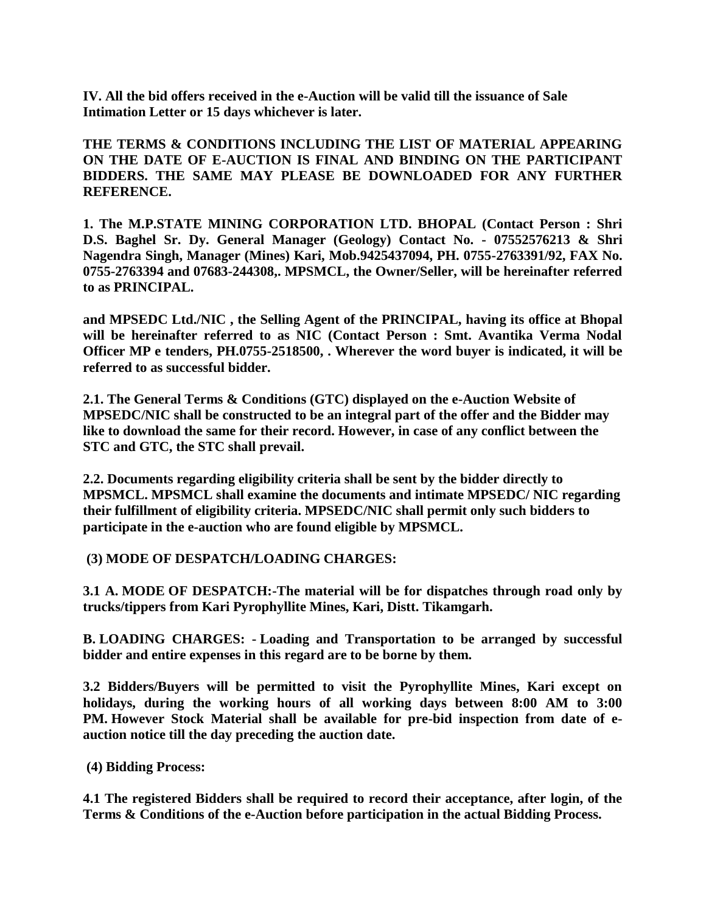**IV. All the bid offers received in the e-Auction will be valid till the issuance of Sale Intimation Letter or 15 days whichever is later.**

**THE TERMS & CONDITIONS INCLUDING THE LIST OF MATERIAL APPEARING ON THE DATE OF E-AUCTION IS FINAL AND BINDING ON THE PARTICIPANT BIDDERS. THE SAME MAY PLEASE BE DOWNLOADED FOR ANY FURTHER REFERENCE.**

**1. The M.P.STATE MINING CORPORATION LTD. BHOPAL (Contact Person : Shri D.S. Baghel Sr. Dy. General Manager (Geology) Contact No. - 07552576213 & Shri Nagendra Singh, Manager (Mines) Kari, Mob.9425437094, PH. 0755-2763391/92, FAX No. 0755-2763394 and 07683-244308,. MPSMCL, the Owner/Seller, will be hereinafter referred to as PRINCIPAL.** 

**and MPSEDC Ltd./NIC , the Selling Agent of the PRINCIPAL, having its office at Bhopal will be hereinafter referred to as NIC (Contact Person : Smt. Avantika Verma Nodal Officer MP e tenders, PH.0755-2518500, . Wherever the word buyer is indicated, it will be referred to as successful bidder.**

**2.1. The General Terms & Conditions (GTC) displayed on the e-Auction Website of MPSEDC/NIC shall be constructed to be an integral part of the offer and the Bidder may like to download the same for their record. However, in case of any conflict between the STC and GTC, the STC shall prevail.**

**2.2. Documents regarding eligibility criteria shall be sent by the bidder directly to MPSMCL. MPSMCL shall examine the documents and intimate MPSEDC/ NIC regarding their fulfillment of eligibility criteria. MPSEDC/NIC shall permit only such bidders to participate in the e-auction who are found eligible by MPSMCL.**

**(3) MODE OF DESPATCH/LOADING CHARGES:**

**3.1 A. MODE OF DESPATCH:-The material will be for dispatches through road only by trucks/tippers from Kari Pyrophyllite Mines, Kari, Distt. Tikamgarh.**

**B. LOADING CHARGES: - Loading and Transportation to be arranged by successful bidder and entire expenses in this regard are to be borne by them.**

**3.2 Bidders/Buyers will be permitted to visit the Pyrophyllite Mines, Kari except on holidays, during the working hours of all working days between 8:00 AM to 3:00 PM. However Stock Material shall be available for pre-bid inspection from date of eauction notice till the day preceding the auction date.** 

**(4) Bidding Process:**

**4.1 The registered Bidders shall be required to record their acceptance, after login, of the Terms & Conditions of the e-Auction before participation in the actual Bidding Process.**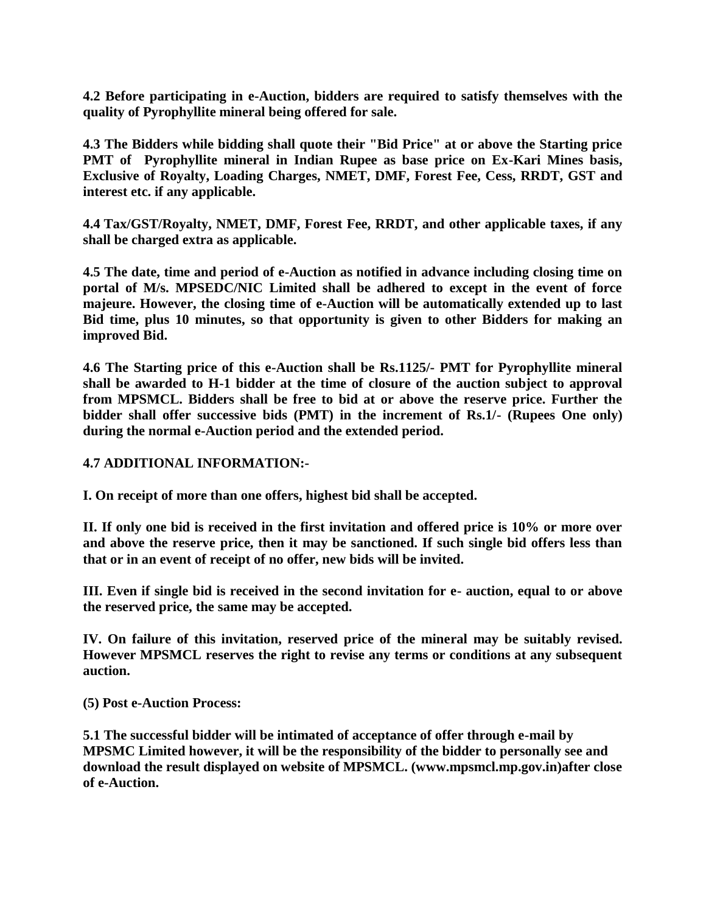**4.2 Before participating in e-Auction, bidders are required to satisfy themselves with the quality of Pyrophyllite mineral being offered for sale.** 

**4.3 The Bidders while bidding shall quote their "Bid Price" at or above the Starting price PMT of Pyrophyllite mineral in Indian Rupee as base price on Ex-Kari Mines basis, Exclusive of Royalty, Loading Charges, NMET, DMF, Forest Fee, Cess, RRDT, GST and interest etc. if any applicable.**

**4.4 Tax/GST/Royalty, NMET, DMF, Forest Fee, RRDT, and other applicable taxes, if any shall be charged extra as applicable.** 

**4.5 The date, time and period of e-Auction as notified in advance including closing time on portal of M/s. MPSEDC/NIC Limited shall be adhered to except in the event of force majeure. However, the closing time of e-Auction will be automatically extended up to last Bid time, plus 10 minutes, so that opportunity is given to other Bidders for making an improved Bid.**

**4.6 The Starting price of this e-Auction shall be Rs.1125/- PMT for Pyrophyllite mineral shall be awarded to H-1 bidder at the time of closure of the auction subject to approval from MPSMCL. Bidders shall be free to bid at or above the reserve price. Further the bidder shall offer successive bids (PMT) in the increment of Rs.1/- (Rupees One only) during the normal e-Auction period and the extended period.**

#### **4.7 ADDITIONAL INFORMATION:-**

**I. On receipt of more than one offers, highest bid shall be accepted.**

**II. If only one bid is received in the first invitation and offered price is 10% or more over and above the reserve price, then it may be sanctioned. If such single bid offers less than that or in an event of receipt of no offer, new bids will be invited.** 

**III. Even if single bid is received in the second invitation for e- auction, equal to or above the reserved price, the same may be accepted.**

**IV. On failure of this invitation, reserved price of the mineral may be suitably revised. However MPSMCL reserves the right to revise any terms or conditions at any subsequent auction.** 

**(5) Post e-Auction Process:**

**5.1 The successful bidder will be intimated of acceptance of offer through e-mail by MPSMC Limited however, it will be the responsibility of the bidder to personally see and download the result displayed on website of MPSMCL. (www.mpsmcl.mp.gov.in)after close of e-Auction.**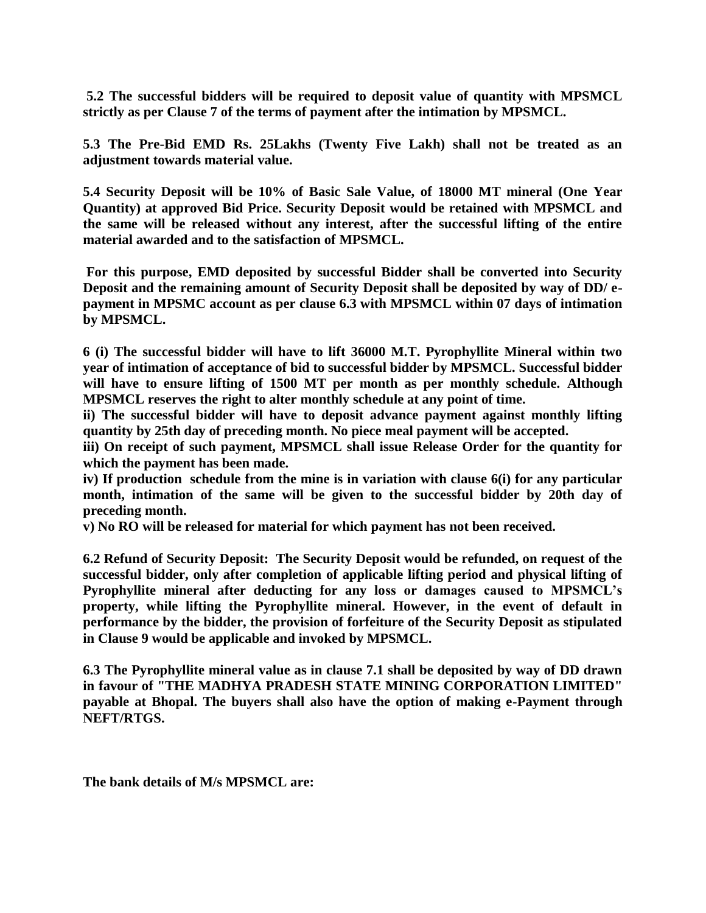**5.2 The successful bidders will be required to deposit value of quantity with MPSMCL strictly as per Clause 7 of the terms of payment after the intimation by MPSMCL.**

**5.3 The Pre-Bid EMD Rs. 25Lakhs (Twenty Five Lakh) shall not be treated as an adjustment towards material value.**

**5.4 Security Deposit will be 10% of Basic Sale Value, of 18000 MT mineral (One Year Quantity) at approved Bid Price. Security Deposit would be retained with MPSMCL and the same will be released without any interest, after the successful lifting of the entire material awarded and to the satisfaction of MPSMCL.**

**For this purpose, EMD deposited by successful Bidder shall be converted into Security Deposit and the remaining amount of Security Deposit shall be deposited by way of DD/ epayment in MPSMC account as per clause 6.3 with MPSMCL within 07 days of intimation by MPSMCL.**

**6 (i) The successful bidder will have to lift 36000 M.T. Pyrophyllite Mineral within two year of intimation of acceptance of bid to successful bidder by MPSMCL. Successful bidder will have to ensure lifting of 1500 MT per month as per monthly schedule. Although MPSMCL reserves the right to alter monthly schedule at any point of time.** 

**ii) The successful bidder will have to deposit advance payment against monthly lifting quantity by 25th day of preceding month. No piece meal payment will be accepted.** 

**iii) On receipt of such payment, MPSMCL shall issue Release Order for the quantity for which the payment has been made.** 

**iv) If production schedule from the mine is in variation with clause 6(i) for any particular month, intimation of the same will be given to the successful bidder by 20th day of preceding month.** 

**v) No RO will be released for material for which payment has not been received.** 

**6.2 Refund of Security Deposit: The Security Deposit would be refunded, on request of the successful bidder, only after completion of applicable lifting period and physical lifting of Pyrophyllite mineral after deducting for any loss or damages caused to MPSMCL's property, while lifting the Pyrophyllite mineral. However, in the event of default in performance by the bidder, the provision of forfeiture of the Security Deposit as stipulated in Clause 9 would be applicable and invoked by MPSMCL.**

**6.3 The Pyrophyllite mineral value as in clause 7.1 shall be deposited by way of DD drawn in favour of "THE MADHYA PRADESH STATE MINING CORPORATION LIMITED" payable at Bhopal. The buyers shall also have the option of making e-Payment through NEFT/RTGS.** 

**The bank details of M/s MPSMCL are:**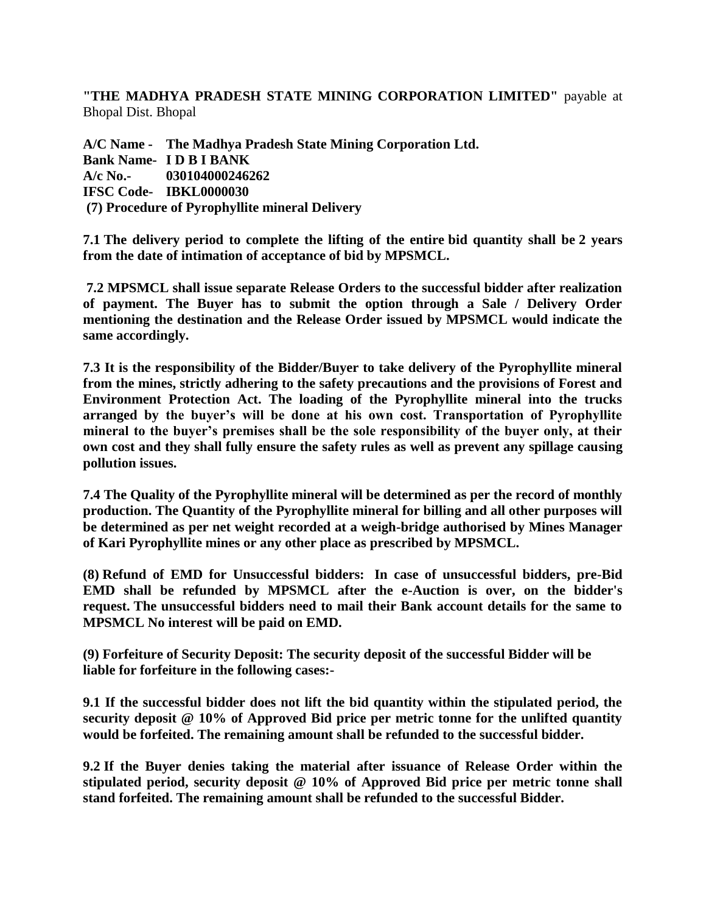**"THE MADHYA PRADESH STATE MINING CORPORATION LIMITED"** payable at Bhopal Dist. Bhopal

**A/C Name - The Madhya Pradesh State Mining Corporation Ltd. Bank Name- I D B I BANK A/c No.- 030104000246262 IFSC Code- IBKL0000030 (7) Procedure of Pyrophyllite mineral Delivery**

**7.1 The delivery period to complete the lifting of the entire bid quantity shall be 2 years from the date of intimation of acceptance of bid by MPSMCL.**

**7.2 MPSMCL shall issue separate Release Orders to the successful bidder after realization of payment. The Buyer has to submit the option through a Sale / Delivery Order mentioning the destination and the Release Order issued by MPSMCL would indicate the same accordingly.**

**7.3 It is the responsibility of the Bidder/Buyer to take delivery of the Pyrophyllite mineral from the mines, strictly adhering to the safety precautions and the provisions of Forest and Environment Protection Act. The loading of the Pyrophyllite mineral into the trucks arranged by the buyer's will be done at his own cost. Transportation of Pyrophyllite mineral to the buyer's premises shall be the sole responsibility of the buyer only, at their own cost and they shall fully ensure the safety rules as well as prevent any spillage causing pollution issues.**

**7.4 The Quality of the Pyrophyllite mineral will be determined as per the record of monthly production. The Quantity of the Pyrophyllite mineral for billing and all other purposes will be determined as per net weight recorded at a weigh-bridge authorised by Mines Manager of Kari Pyrophyllite mines or any other place as prescribed by MPSMCL.** 

**(8) Refund of EMD for Unsuccessful bidders: In case of unsuccessful bidders, pre-Bid EMD shall be refunded by MPSMCL after the e-Auction is over, on the bidder's request. The unsuccessful bidders need to mail their Bank account details for the same to MPSMCL No interest will be paid on EMD.**

**(9) Forfeiture of Security Deposit: The security deposit of the successful Bidder will be liable for forfeiture in the following cases:-**

**9.1 If the successful bidder does not lift the bid quantity within the stipulated period, the security deposit @ 10% of Approved Bid price per metric tonne for the unlifted quantity would be forfeited. The remaining amount shall be refunded to the successful bidder.**

**9.2 If the Buyer denies taking the material after issuance of Release Order within the stipulated period, security deposit @ 10% of Approved Bid price per metric tonne shall stand forfeited. The remaining amount shall be refunded to the successful Bidder.**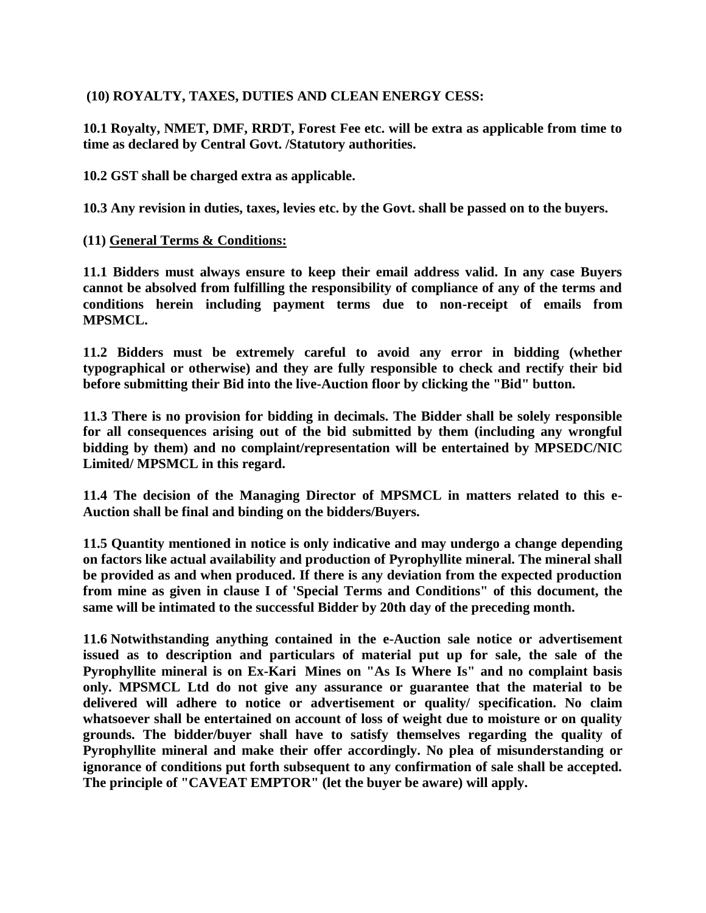# **(10) ROYALTY, TAXES, DUTIES AND CLEAN ENERGY CESS:**

**10.1 Royalty, NMET, DMF, RRDT, Forest Fee etc. will be extra as applicable from time to time as declared by Central Govt. /Statutory authorities.** 

**10.2 GST shall be charged extra as applicable.** 

**10.3 Any revision in duties, taxes, levies etc. by the Govt. shall be passed on to the buyers.**

### **(11) General Terms & Conditions:**

**11.1 Bidders must always ensure to keep their email address valid. In any case Buyers cannot be absolved from fulfilling the responsibility of compliance of any of the terms and conditions herein including payment terms due to non-receipt of emails from MPSMCL.**

**11.2 Bidders must be extremely careful to avoid any error in bidding (whether typographical or otherwise) and they are fully responsible to check and rectify their bid before submitting their Bid into the live-Auction floor by clicking the "Bid" button.**

**11.3 There is no provision for bidding in decimals. The Bidder shall be solely responsible for all consequences arising out of the bid submitted by them (including any wrongful bidding by them) and no complaint/representation will be entertained by MPSEDC/NIC Limited/ MPSMCL in this regard.**

**11.4 The decision of the Managing Director of MPSMCL in matters related to this e-Auction shall be final and binding on the bidders/Buyers.**

**11.5 Quantity mentioned in notice is only indicative and may undergo a change depending on factors like actual availability and production of Pyrophyllite mineral. The mineral shall be provided as and when produced. If there is any deviation from the expected production from mine as given in clause I of 'Special Terms and Conditions" of this document, the same will be intimated to the successful Bidder by 20th day of the preceding month.** 

**11.6 Notwithstanding anything contained in the e-Auction sale notice or advertisement issued as to description and particulars of material put up for sale, the sale of the Pyrophyllite mineral is on Ex-Kari Mines on "As Is Where Is" and no complaint basis only. MPSMCL Ltd do not give any assurance or guarantee that the material to be delivered will adhere to notice or advertisement or quality/ specification. No claim whatsoever shall be entertained on account of loss of weight due to moisture or on quality grounds. The bidder/buyer shall have to satisfy themselves regarding the quality of Pyrophyllite mineral and make their offer accordingly. No plea of misunderstanding or ignorance of conditions put forth subsequent to any confirmation of sale shall be accepted. The principle of "CAVEAT EMPTOR" (let the buyer be aware) will apply.**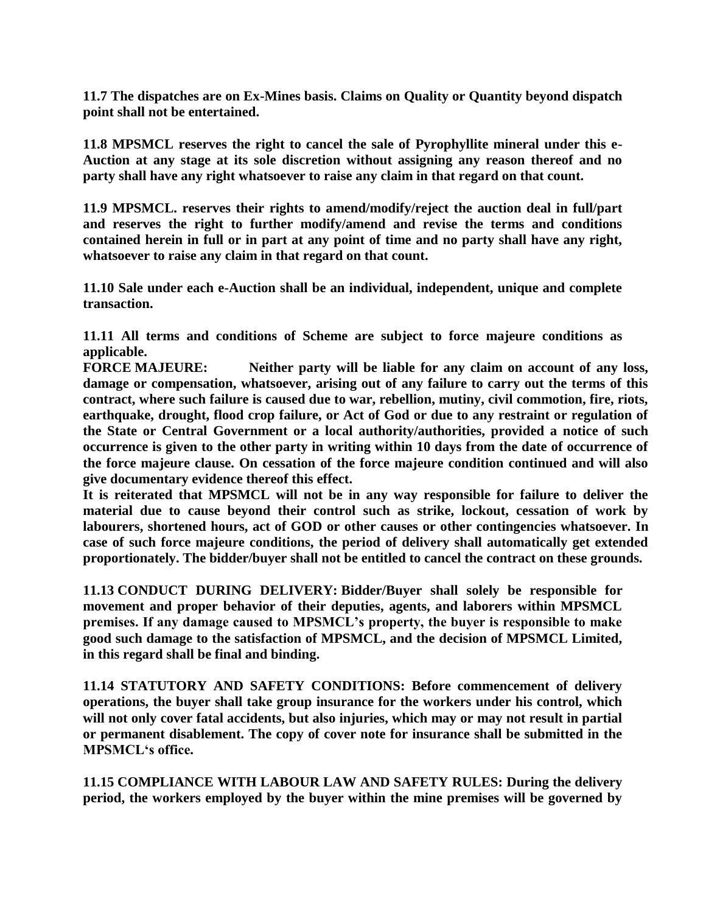**11.7 The dispatches are on Ex-Mines basis. Claims on Quality or Quantity beyond dispatch point shall not be entertained.**

**11.8 MPSMCL reserves the right to cancel the sale of Pyrophyllite mineral under this e-Auction at any stage at its sole discretion without assigning any reason thereof and no party shall have any right whatsoever to raise any claim in that regard on that count.**

**11.9 MPSMCL. reserves their rights to amend/modify/reject the auction deal in full/part and reserves the right to further modify/amend and revise the terms and conditions contained herein in full or in part at any point of time and no party shall have any right, whatsoever to raise any claim in that regard on that count.**

**11.10 Sale under each e-Auction shall be an individual, independent, unique and complete transaction.**

**11.11 All terms and conditions of Scheme are subject to force majeure conditions as applicable.**

**FORCE MAJEURE: Neither party will be liable for any claim on account of any loss, damage or compensation, whatsoever, arising out of any failure to carry out the terms of this contract, where such failure is caused due to war, rebellion, mutiny, civil commotion, fire, riots, earthquake, drought, flood crop failure, or Act of God or due to any restraint or regulation of the State or Central Government or a local authority/authorities, provided a notice of such occurrence is given to the other party in writing within 10 days from the date of occurrence of the force majeure clause. On cessation of the force majeure condition continued and will also give documentary evidence thereof this effect.**

**It is reiterated that MPSMCL will not be in any way responsible for failure to deliver the material due to cause beyond their control such as strike, lockout, cessation of work by labourers, shortened hours, act of GOD or other causes or other contingencies whatsoever. In case of such force majeure conditions, the period of delivery shall automatically get extended proportionately. The bidder/buyer shall not be entitled to cancel the contract on these grounds.** 

**11.13 CONDUCT DURING DELIVERY: Bidder/Buyer shall solely be responsible for movement and proper behavior of their deputies, agents, and laborers within MPSMCL premises. If any damage caused to MPSMCL's property, the buyer is responsible to make good such damage to the satisfaction of MPSMCL, and the decision of MPSMCL Limited, in this regard shall be final and binding.** 

**11.14 STATUTORY AND SAFETY CONDITIONS: Before commencement of delivery operations, the buyer shall take group insurance for the workers under his control, which will not only cover fatal accidents, but also injuries, which may or may not result in partial or permanent disablement. The copy of cover note for insurance shall be submitted in the MPSMCL's office.**

**11.15 COMPLIANCE WITH LABOUR LAW AND SAFETY RULES: During the delivery period, the workers employed by the buyer within the mine premises will be governed by**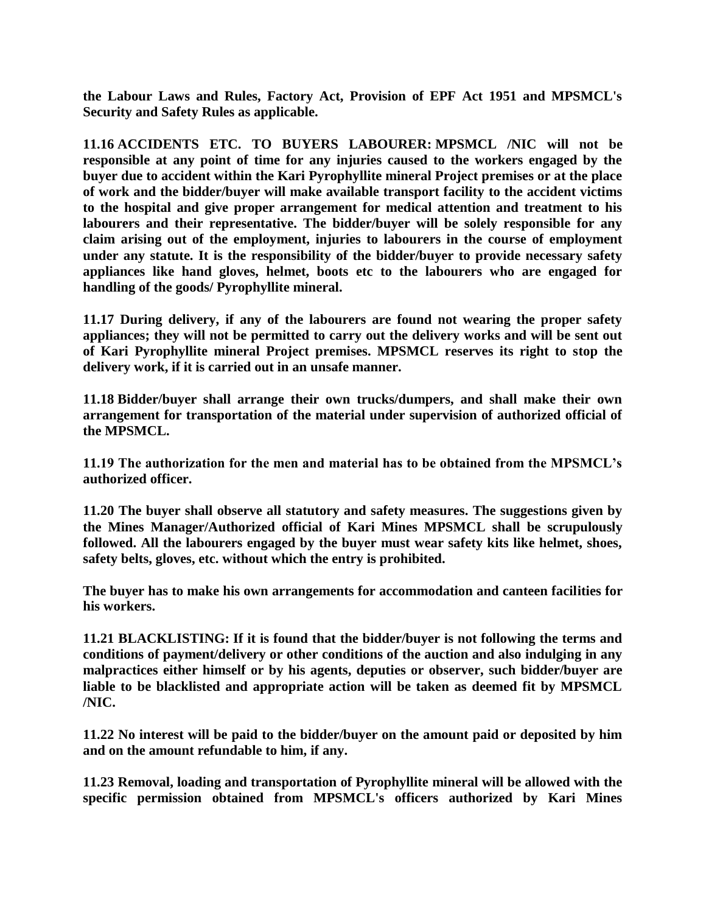**the Labour Laws and Rules, Factory Act, Provision of EPF Act 1951 and MPSMCL's Security and Safety Rules as applicable.**

**11.16 ACCIDENTS ETC. TO BUYERS LABOURER: MPSMCL /NIC will not be responsible at any point of time for any injuries caused to the workers engaged by the buyer due to accident within the Kari Pyrophyllite mineral Project premises or at the place of work and the bidder/buyer will make available transport facility to the accident victims to the hospital and give proper arrangement for medical attention and treatment to his labourers and their representative. The bidder/buyer will be solely responsible for any claim arising out of the employment, injuries to labourers in the course of employment under any statute. It is the responsibility of the bidder/buyer to provide necessary safety appliances like hand gloves, helmet, boots etc to the labourers who are engaged for handling of the goods/ Pyrophyllite mineral.**

**11.17 During delivery, if any of the labourers are found not wearing the proper safety appliances; they will not be permitted to carry out the delivery works and will be sent out of Kari Pyrophyllite mineral Project premises. MPSMCL reserves its right to stop the delivery work, if it is carried out in an unsafe manner.**

**11.18 Bidder/buyer shall arrange their own trucks/dumpers, and shall make their own arrangement for transportation of the material under supervision of authorized official of the MPSMCL.**

**11.19 The authorization for the men and material has to be obtained from the MPSMCL's authorized officer.**

**11.20 The buyer shall observe all statutory and safety measures. The suggestions given by the Mines Manager/Authorized official of Kari Mines MPSMCL shall be scrupulously followed. All the labourers engaged by the buyer must wear safety kits like helmet, shoes, safety belts, gloves, etc. without which the entry is prohibited.** 

**The buyer has to make his own arrangements for accommodation and canteen facilities for his workers.**

**11.21 BLACKLISTING: If it is found that the bidder/buyer is not following the terms and conditions of payment/delivery or other conditions of the auction and also indulging in any malpractices either himself or by his agents, deputies or observer, such bidder/buyer are liable to be blacklisted and appropriate action will be taken as deemed fit by MPSMCL /NIC.**

**11.22 No interest will be paid to the bidder/buyer on the amount paid or deposited by him and on the amount refundable to him, if any.**

**11.23 Removal, loading and transportation of Pyrophyllite mineral will be allowed with the specific permission obtained from MPSMCL's officers authorized by Kari Mines**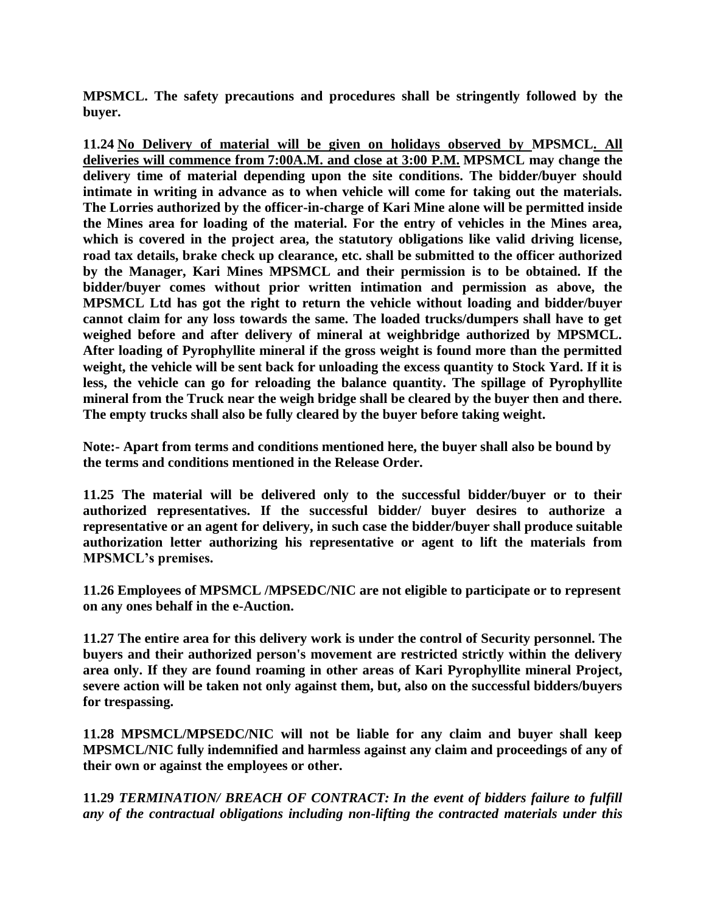**MPSMCL. The safety precautions and procedures shall be stringently followed by the buyer.** 

**11.24 No Delivery of material will be given on holidays observed by MPSMCL. All deliveries will commence from 7:00A.M. and close at 3:00 P.M. MPSMCL may change the delivery time of material depending upon the site conditions. The bidder/buyer should intimate in writing in advance as to when vehicle will come for taking out the materials. The Lorries authorized by the officer-in-charge of Kari Mine alone will be permitted inside the Mines area for loading of the material. For the entry of vehicles in the Mines area, which is covered in the project area, the statutory obligations like valid driving license, road tax details, brake check up clearance, etc. shall be submitted to the officer authorized by the Manager, Kari Mines MPSMCL and their permission is to be obtained. If the bidder/buyer comes without prior written intimation and permission as above, the MPSMCL Ltd has got the right to return the vehicle without loading and bidder/buyer cannot claim for any loss towards the same. The loaded trucks/dumpers shall have to get weighed before and after delivery of mineral at weighbridge authorized by MPSMCL. After loading of Pyrophyllite mineral if the gross weight is found more than the permitted weight, the vehicle will be sent back for unloading the excess quantity to Stock Yard. If it is less, the vehicle can go for reloading the balance quantity. The spillage of Pyrophyllite mineral from the Truck near the weigh bridge shall be cleared by the buyer then and there. The empty trucks shall also be fully cleared by the buyer before taking weight.** 

**Note:- Apart from terms and conditions mentioned here, the buyer shall also be bound by the terms and conditions mentioned in the Release Order.**

**11.25 The material will be delivered only to the successful bidder/buyer or to their authorized representatives. If the successful bidder/ buyer desires to authorize a representative or an agent for delivery, in such case the bidder/buyer shall produce suitable authorization letter authorizing his representative or agent to lift the materials from MPSMCL's premises.**

**11.26 Employees of MPSMCL /MPSEDC/NIC are not eligible to participate or to represent on any ones behalf in the e-Auction.**

**11.27 The entire area for this delivery work is under the control of Security personnel. The buyers and their authorized person's movement are restricted strictly within the delivery area only. If they are found roaming in other areas of Kari Pyrophyllite mineral Project, severe action will be taken not only against them, but, also on the successful bidders/buyers for trespassing.**

**11.28 MPSMCL/MPSEDC/NIC will not be liable for any claim and buyer shall keep MPSMCL/NIC fully indemnified and harmless against any claim and proceedings of any of their own or against the employees or other.**

**11.29** *TERMINATION/ BREACH OF CONTRACT: In the event of bidders failure to fulfill any of the contractual obligations including non-lifting the contracted materials under this*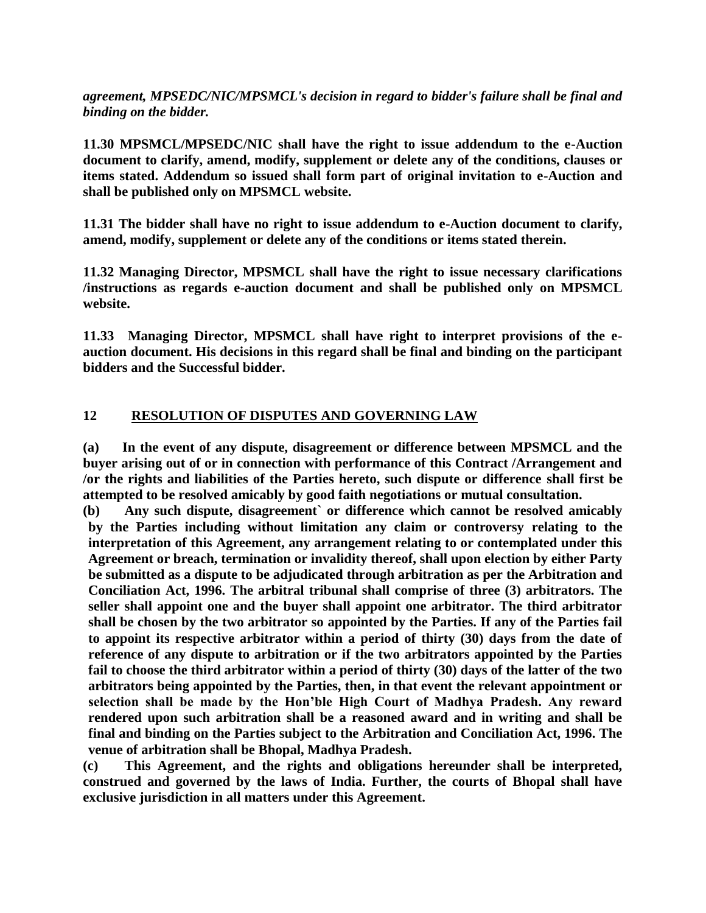*agreement, MPSEDC/NIC/MPSMCL's decision in regard to bidder's failure shall be final and binding on the bidder.* 

**11.30 MPSMCL/MPSEDC/NIC shall have the right to issue addendum to the e-Auction document to clarify, amend, modify, supplement or delete any of the conditions, clauses or items stated. Addendum so issued shall form part of original invitation to e-Auction and shall be published only on MPSMCL website.**

**11.31 The bidder shall have no right to issue addendum to e-Auction document to clarify, amend, modify, supplement or delete any of the conditions or items stated therein.**

**11.32 Managing Director, MPSMCL shall have the right to issue necessary clarifications /instructions as regards e-auction document and shall be published only on MPSMCL website.** 

**11.33 Managing Director, MPSMCL shall have right to interpret provisions of the eauction document. His decisions in this regard shall be final and binding on the participant bidders and the Successful bidder.** 

# **12 RESOLUTION OF DISPUTES AND GOVERNING LAW**

**(a) In the event of any dispute, disagreement or difference between MPSMCL and the buyer arising out of or in connection with performance of this Contract /Arrangement and /or the rights and liabilities of the Parties hereto, such dispute or difference shall first be attempted to be resolved amicably by good faith negotiations or mutual consultation.** 

**(b) Any such dispute, disagreement` or difference which cannot be resolved amicably by the Parties including without limitation any claim or controversy relating to the interpretation of this Agreement, any arrangement relating to or contemplated under this Agreement or breach, termination or invalidity thereof, shall upon election by either Party be submitted as a dispute to be adjudicated through arbitration as per the Arbitration and Conciliation Act, 1996. The arbitral tribunal shall comprise of three (3) arbitrators. The seller shall appoint one and the buyer shall appoint one arbitrator. The third arbitrator shall be chosen by the two arbitrator so appointed by the Parties. If any of the Parties fail to appoint its respective arbitrator within a period of thirty (30) days from the date of reference of any dispute to arbitration or if the two arbitrators appointed by the Parties fail to choose the third arbitrator within a period of thirty (30) days of the latter of the two arbitrators being appointed by the Parties, then, in that event the relevant appointment or selection shall be made by the Hon'ble High Court of Madhya Pradesh. Any reward rendered upon such arbitration shall be a reasoned award and in writing and shall be final and binding on the Parties subject to the Arbitration and Conciliation Act, 1996. The venue of arbitration shall be Bhopal, Madhya Pradesh.**

**(c) This Agreement, and the rights and obligations hereunder shall be interpreted, construed and governed by the laws of India. Further, the courts of Bhopal shall have exclusive jurisdiction in all matters under this Agreement.**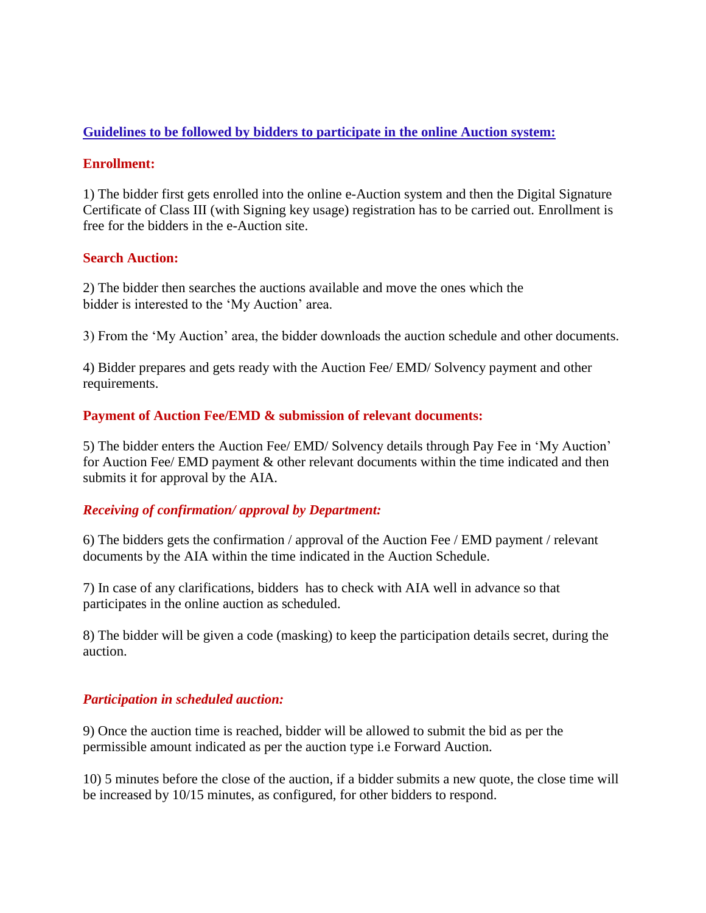## **Guidelines to be followed by bidders to participate in the online Auction system:**

#### **Enrollment:**

1) The bidder first gets enrolled into the online e-Auction system and then the Digital Signature Certificate of Class III (with Signing key usage) registration has to be carried out. Enrollment is free for the bidders in the e-Auction site.

### **Search Auction:**

2) The bidder then searches the auctions available and move the ones which the bidder is interested to the 'My Auction' area.

3) From the 'My Auction' area, the bidder downloads the auction schedule and other documents.

4) Bidder prepares and gets ready with the Auction Fee/ EMD/ Solvency payment and other requirements.

### **Payment of Auction Fee/EMD & submission of relevant documents:**

5) The bidder enters the Auction Fee/ EMD/ Solvency details through Pay Fee in 'My Auction' for Auction Fee/ EMD payment & other relevant documents within the time indicated and then submits it for approval by the AIA.

# *Receiving of confirmation/ approval by Department:*

6) The bidders gets the confirmation / approval of the Auction Fee / EMD payment / relevant documents by the AIA within the time indicated in the Auction Schedule.

7) In case of any clarifications, bidders has to check with AIA well in advance so that participates in the online auction as scheduled.

8) The bidder will be given a code (masking) to keep the participation details secret, during the auction.

#### *Participation in scheduled auction:*

9) Once the auction time is reached, bidder will be allowed to submit the bid as per the permissible amount indicated as per the auction type i.e Forward Auction.

10) 5 minutes before the close of the auction, if a bidder submits a new quote, the close time will be increased by 10/15 minutes, as configured, for other bidders to respond.